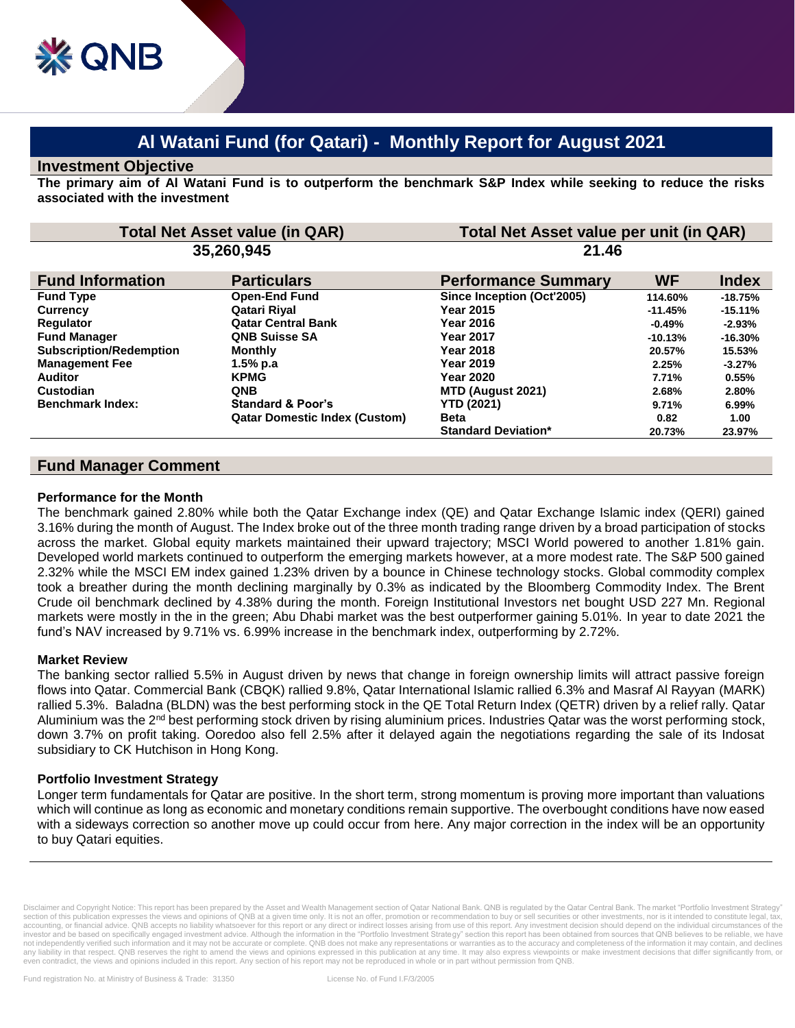# **Al Watani Fund (for Qatari) - Monthly Report for August 2021**

#### **Investment Objective**

**The primary aim of Al Watani Fund is to outperform the benchmark S&P Index while seeking to reduce the risks associated with the investment**

| <b>Total Net Asset value (in QAR)</b><br>35,260,945 |                                      | Total Net Asset value per unit (in QAR)<br>21.46 |           |           |
|-----------------------------------------------------|--------------------------------------|--------------------------------------------------|-----------|-----------|
|                                                     |                                      |                                                  |           |           |
| <b>Fund Type</b>                                    | <b>Open-End Fund</b>                 | Since Inception (Oct'2005)                       | 114.60%   | $-18.75%$ |
| <b>Currency</b>                                     | Qatari Riyal                         | <b>Year 2015</b>                                 | $-11.45%$ | $-15.11%$ |
| Regulator                                           | <b>Qatar Central Bank</b>            | <b>Year 2016</b>                                 | $-0.49%$  | $-2.93%$  |
| <b>Fund Manager</b>                                 | <b>QNB Suisse SA</b>                 | <b>Year 2017</b>                                 | $-10.13%$ | $-16.30%$ |
| <b>Subscription/Redemption</b>                      | <b>Monthly</b>                       | <b>Year 2018</b>                                 | 20.57%    | 15.53%    |
| <b>Management Fee</b>                               | 1.5% p.a                             | <b>Year 2019</b>                                 | 2.25%     | $-3.27%$  |
| <b>Auditor</b>                                      | <b>KPMG</b>                          | <b>Year 2020</b>                                 | 7.71%     | 0.55%     |
| Custodian                                           | <b>QNB</b>                           | MTD (August 2021)                                | 2.68%     | 2.80%     |
| <b>Benchmark Index:</b>                             | <b>Standard &amp; Poor's</b>         | <b>YTD (2021)</b>                                | 9.71%     | $6.99\%$  |
|                                                     | <b>Qatar Domestic Index (Custom)</b> | <b>Beta</b>                                      | 0.82      | 1.00      |
|                                                     |                                      | <b>Standard Deviation*</b>                       | 20.73%    | 23.97%    |

## **Fund Manager Comment**

#### **Performance for the Month**

The benchmark gained 2.80% while both the Qatar Exchange index (QE) and Qatar Exchange Islamic index (QERI) gained 3.16% during the month of August. The Index broke out of the three month trading range driven by a broad participation of stocks across the market. Global equity markets maintained their upward trajectory; MSCI World powered to another 1.81% gain. Developed world markets continued to outperform the emerging markets however, at a more modest rate. The S&P 500 gained 2.32% while the MSCI EM index gained 1.23% driven by a bounce in Chinese technology stocks. Global commodity complex took a breather during the month declining marginally by 0.3% as indicated by the Bloomberg Commodity Index. The Brent Crude oil benchmark declined by 4.38% during the month. Foreign Institutional Investors net bought USD 227 Mn. Regional markets were mostly in the in the green; Abu Dhabi market was the best outperformer gaining 5.01%. In year to date 2021 the fund's NAV increased by 9.71% vs. 6.99% increase in the benchmark index, outperforming by 2.72%.

## **Market Review**

The banking sector rallied 5.5% in August driven by news that change in foreign ownership limits will attract passive foreign flows into Qatar. Commercial Bank (CBQK) rallied 9.8%, Qatar International Islamic rallied 6.3% and Masraf Al Rayyan (MARK) rallied 5.3%. Baladna (BLDN) was the best performing stock in the QE Total Return Index (QETR) driven by a relief rally. Qatar Aluminium was the 2<sup>nd</sup> best performing stock driven by rising aluminium prices. Industries Qatar was the worst performing stock, down 3.7% on profit taking. Ooredoo also fell 2.5% after it delayed again the negotiations regarding the sale of its Indosat subsidiary to CK Hutchison in Hong Kong.

## **Portfolio Investment Strategy**

Longer term fundamentals for Qatar are positive. In the short term, strong momentum is proving more important than valuations which will continue as long as economic and monetary conditions remain supportive. The overbought conditions have now eased with a sideways correction so another move up could occur from here. Any major correction in the index will be an opportunity to buy Qatari equities.

Disclaimer and Copyright Notice: This report has been prepared by the Asset and Wealth Management section of Qatar National Bank. QNB is regulated by the Qatar Central Bank. The market "Portfolio Investment Strategy section of this publication expresses the views and opinions of QNB at a given time only. It is not an offer, promotion or recommendation to buy or sell securities or other investments, nor is it intended to constitute leg accounting, or financial advice. QNB accepts no liability whatsoever for this report or any direct or indirect losses arising from use of this report. Any investment decision should depend on the individual circumstances o investor and be based on specifically engaged investment advice. Although the information in the "Portfolio Investment Strategy" section this report has been obtained from sources that QNB believes to be reliable, we have not independently verified such information and it may not be accurate or complete. QNB does not make any representations or warranties as to the accuracy and completeness of the information it may contain, and declines<br>an even contradict, the views and opinions included in this report. Any section of his report may not be reproduced in whole or in part without permission from QNB.